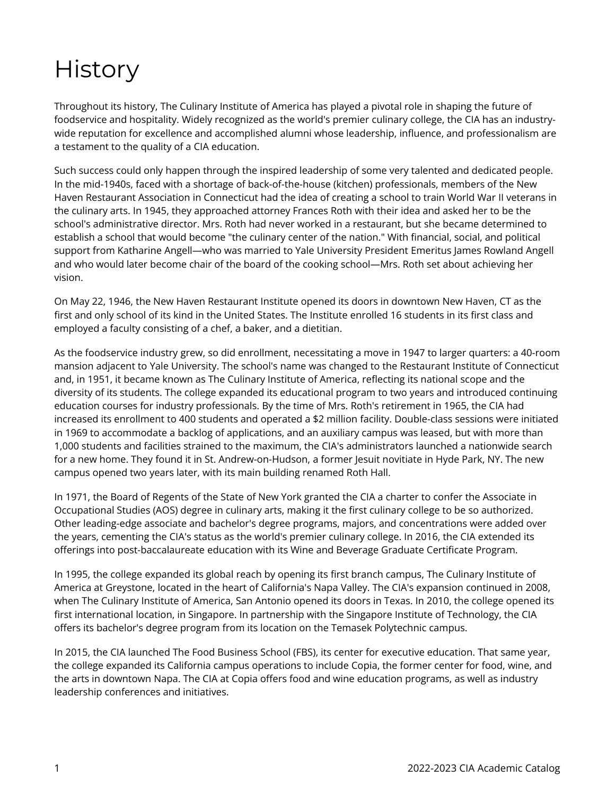## **History**

Throughout its history, The Culinary Institute of America has played a pivotal role in shaping the future of foodservice and hospitality. Widely recognized as the world's premier culinary college, the CIA has an industrywide reputation for excellence and accomplished alumni whose leadership, influence, and professionalism are a testament to the quality of a CIA education.

Such success could only happen through the inspired leadership of some very talented and dedicated people. In the mid-1940s, faced with a shortage of back-of-the-house (kitchen) professionals, members of the New Haven Restaurant Association in Connecticut had the idea of creating a school to train World War II veterans in the culinary arts. In 1945, they approached attorney Frances Roth with their idea and asked her to be the school's administrative director. Mrs. Roth had never worked in a restaurant, but she became determined to establish a school that would become "the culinary center of the nation." With financial, social, and political support from Katharine Angell—who was married to Yale University President Emeritus James Rowland Angell and who would later become chair of the board of the cooking school—Mrs. Roth set about achieving her vision.

On May 22, 1946, the New Haven Restaurant Institute opened its doors in downtown New Haven, CT as the first and only school of its kind in the United States. The Institute enrolled 16 students in its first class and employed a faculty consisting of a chef, a baker, and a dietitian.

As the foodservice industry grew, so did enrollment, necessitating a move in 1947 to larger quarters: a 40-room mansion adjacent to Yale University. The school's name was changed to the Restaurant Institute of Connecticut and, in 1951, it became known as The Culinary Institute of America, reflecting its national scope and the diversity of its students. The college expanded its educational program to two years and introduced continuing education courses for industry professionals. By the time of Mrs. Roth's retirement in 1965, the CIA had increased its enrollment to 400 students and operated a \$2 million facility. Double-class sessions were initiated in 1969 to accommodate a backlog of applications, and an auxiliary campus was leased, but with more than 1,000 students and facilities strained to the maximum, the CIA's administrators launched a nationwide search for a new home. They found it in St. Andrew-on-Hudson, a former Jesuit novitiate in Hyde Park, NY. The new campus opened two years later, with its main building renamed Roth Hall.

In 1971, the Board of Regents of the State of New York granted the CIA a charter to confer the Associate in Occupational Studies (AOS) degree in culinary arts, making it the first culinary college to be so authorized. Other leading-edge associate and bachelor's degree programs, majors, and concentrations were added over the years, cementing the CIA's status as the world's premier culinary college. In 2016, the CIA extended its offerings into post-baccalaureate education with its Wine and Beverage Graduate Certificate Program.

In 1995, the college expanded its global reach by opening its first branch campus, The Culinary Institute of America at Greystone, located in the heart of California's Napa Valley. The CIA's expansion continued in 2008, when The Culinary Institute of America, San Antonio opened its doors in Texas. In 2010, the college opened its first international location, in Singapore. In partnership with the Singapore Institute of Technology, the CIA offers its bachelor's degree program from its location on the Temasek Polytechnic campus.

In 2015, the CIA launched The Food Business School (FBS), its center for executive education. That same year, the college expanded its California campus operations to include Copia, the former center for food, wine, and the arts in downtown Napa. The CIA at Copia offers food and wine education programs, as well as industry leadership conferences and initiatives.